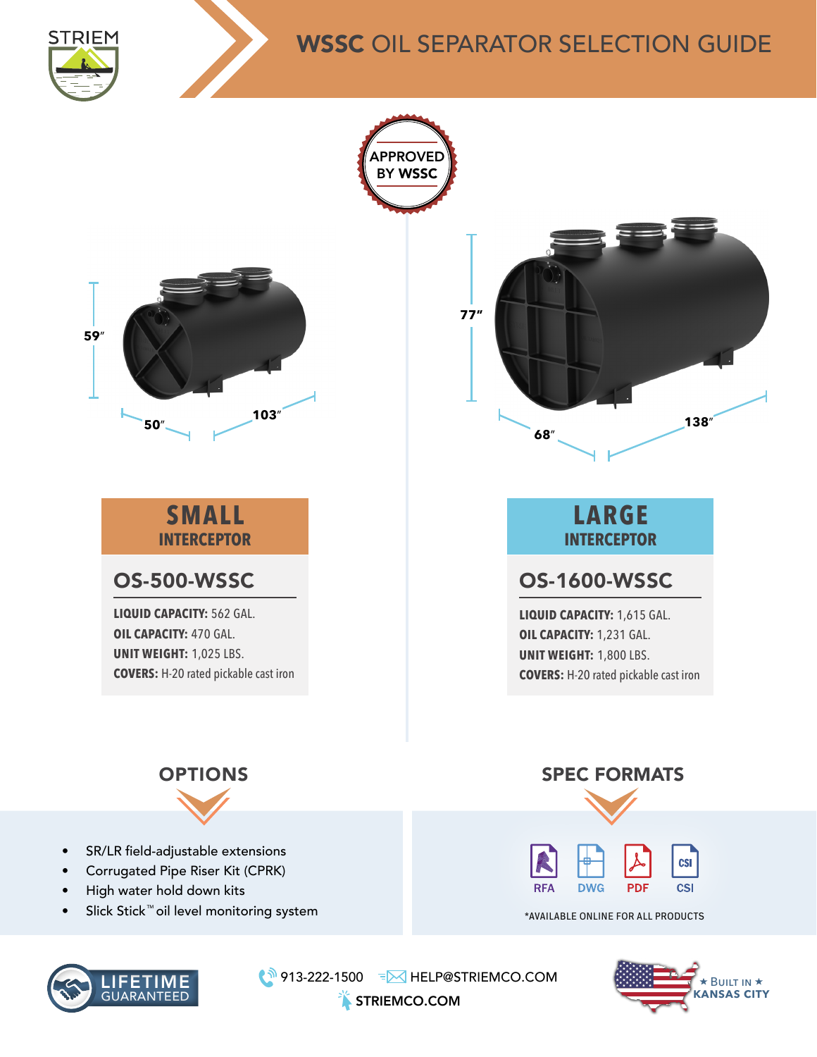

## WSSC OIL SEPARATOR SELECTION GUIDE





₹ 913-222-1500 FM HELP@STRIEMCO.COM

STRIEMCO.COM